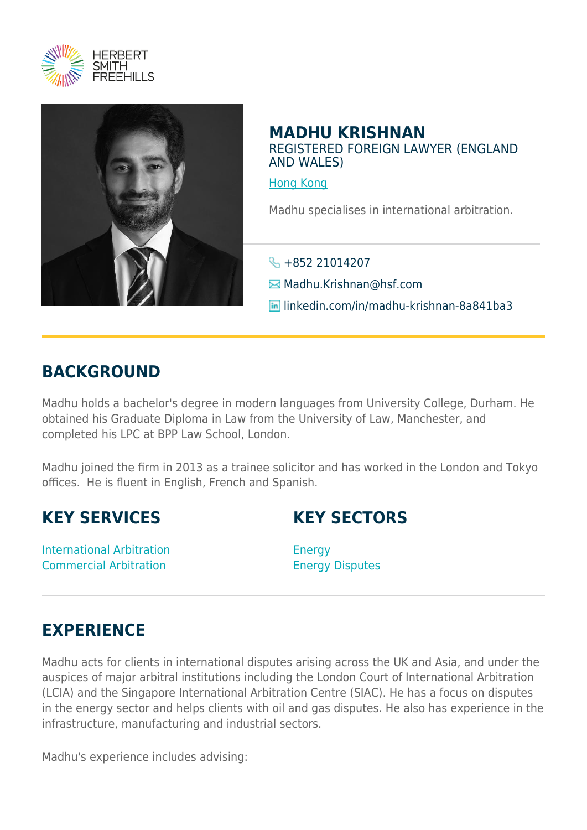



## **MADHU KRISHNAN** REGISTERED FOREIGN LAWYER (ENGLAND AND WALES)

[Hong Kong](https://www.herbertsmithfreehills.com/where-we-work/hong-kong)

Madhu specialises in international arbitration.

 $\frac{1}{2}$  +852 21014207

 $\boxtimes$  **Madhu.Krishnan**@hsf.com

linkedin.com/in/madhu-krishnan-8a841ba3

## **BACKGROUND**

Madhu holds a bachelor's degree in modern languages from University College, Durham. He obtained his Graduate Diploma in Law from the University of Law, Manchester, and completed his LPC at BPP Law School, London.

Madhu joined the firm in 2013 as a trainee solicitor and has worked in the London and Tokyo offices. He is fluent in English, French and Spanish.

## **KEY SERVICES**

International Arbitration Commercial Arbitration

**KEY SECTORS**

Energy Energy Disputes

## **EXPERIENCE**

Madhu acts for clients in international disputes arising across the UK and Asia, and under the auspices of major arbitral institutions including the London Court of International Arbitration (LCIA) and the Singapore International Arbitration Centre (SIAC). He has a focus on disputes in the energy sector and helps clients with oil and gas disputes. He also has experience in the infrastructure, manufacturing and industrial sectors.

Madhu's experience includes advising: